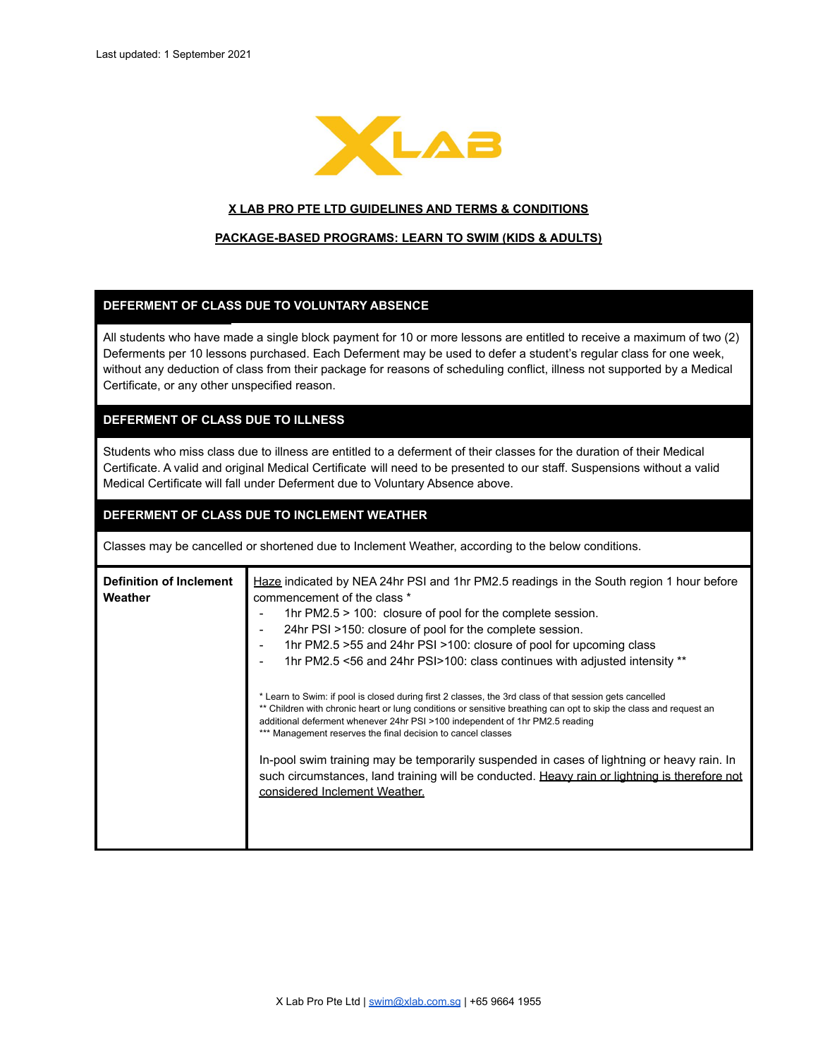

#### **X LAB PRO PTE LTD GUIDELINES AND TERMS & CONDITIONS**

#### **PACKAGE-BASED PROGRAMS: LEARN TO SWIM (KIDS & ADULTS)**

#### **DEFERMENT OF CLASS DUE TO VOLUNTARY ABSENCE**

All students who have made a single block payment for 10 or more lessons are entitled to receive a maximum of two (2) Deferments per 10 lessons purchased. Each Deferment may be used to defer a student's regular class for one week, without any deduction of class from their package for reasons of scheduling conflict, illness not supported by a Medical Certificate, or any other unspecified reason.

## **DEFERMENT OF CLASS DUE TO ILLNESS**

Students who miss class due to illness are entitled to a deferment of their classes for the duration of their Medical Certificate. A valid and original Medical Certificate will need to be presented to our staff. Suspensions without a valid Medical Certificate will fall under Deferment due to Voluntary Absence above.

#### **DEFERMENT OF CLASS DUE TO INCLEMENT WEATHER**

Classes may be cancelled or shortened due to Inclement Weather, according to the below conditions.

| <b>Definition of Inclement</b><br>Weather | Haze indicated by NEA 24hr PSI and 1hr PM2.5 readings in the South region 1 hour before<br>commencement of the class *<br>1hr PM2.5 > 100: closure of pool for the complete session.<br>24hr PSI >150: closure of pool for the complete session.<br>1hr PM2.5 > 55 and 24hr PSI > 100: closure of pool for upcoming class<br>1hr PM2.5 <56 and 24hr PSI>100: class continues with adjusted intensity ** |
|-------------------------------------------|---------------------------------------------------------------------------------------------------------------------------------------------------------------------------------------------------------------------------------------------------------------------------------------------------------------------------------------------------------------------------------------------------------|
|                                           | * Learn to Swim: if pool is closed during first 2 classes, the 3rd class of that session gets cancelled<br>** Children with chronic heart or lung conditions or sensitive breathing can opt to skip the class and request an<br>additional deferment whenever 24hr PSI >100 independent of 1hr PM2.5 reading<br>*** Management reserves the final decision to cancel classes                            |
|                                           | In-pool swim training may be temporarily suspended in cases of lightning or heavy rain. In<br>such circumstances, land training will be conducted. Heavy rain or lightning is therefore not<br>considered Inclement Weather.                                                                                                                                                                            |
|                                           |                                                                                                                                                                                                                                                                                                                                                                                                         |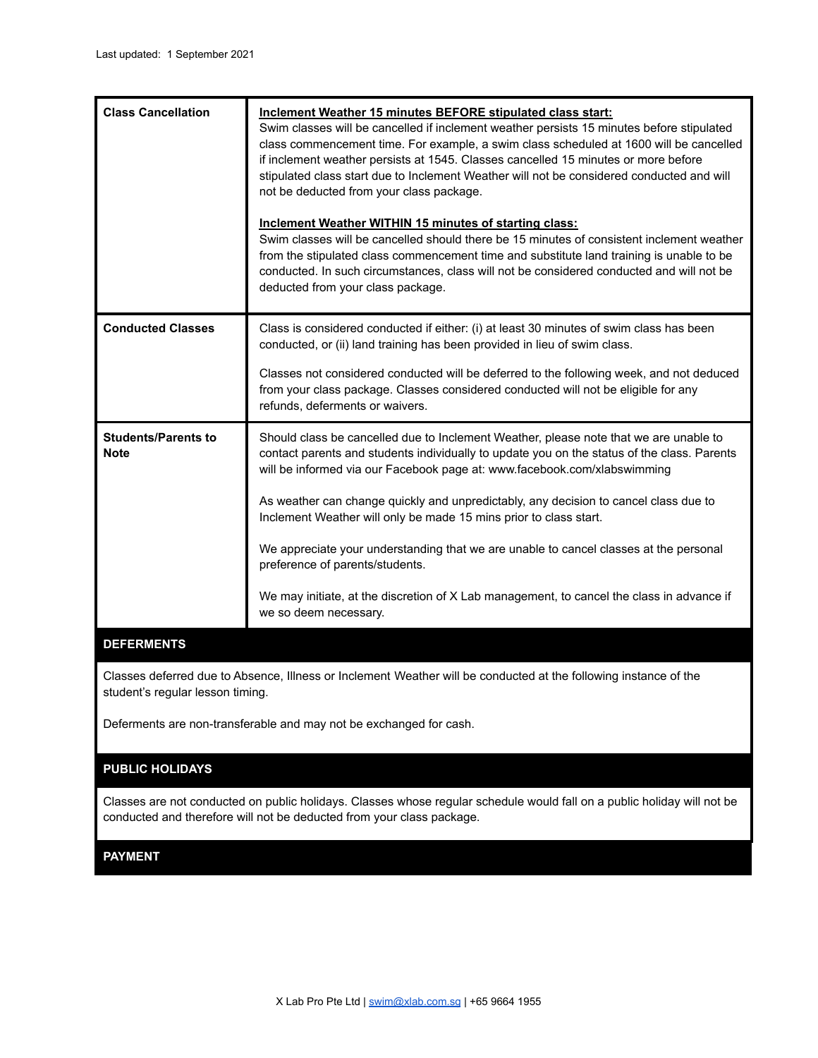| <b>Conducted Classes</b><br>Class is considered conducted if either: (i) at least 30 minutes of swim class has been<br>conducted, or (ii) land training has been provided in lieu of swim class.<br>Classes not considered conducted will be deferred to the following week, and not deduced<br>from your class package. Classes considered conducted will not be eligible for any<br>refunds, deferments or waivers.<br><b>Students/Parents to</b><br>Should class be cancelled due to Inclement Weather, please note that we are unable to<br>contact parents and students individually to update you on the status of the class. Parents<br><b>Note</b><br>will be informed via our Facebook page at: www.facebook.com/xlabswimming<br>As weather can change quickly and unpredictably, any decision to cancel class due to<br>Inclement Weather will only be made 15 mins prior to class start.<br>We appreciate your understanding that we are unable to cancel classes at the personal<br>preference of parents/students.<br>We may initiate, at the discretion of X Lab management, to cancel the class in advance if<br>we so deem necessary. | <b>Class Cancellation</b> | Inclement Weather 15 minutes BEFORE stipulated class start:<br>Swim classes will be cancelled if inclement weather persists 15 minutes before stipulated<br>class commencement time. For example, a swim class scheduled at 1600 will be cancelled<br>if inclement weather persists at 1545. Classes cancelled 15 minutes or more before<br>stipulated class start due to Inclement Weather will not be considered conducted and will<br>not be deducted from your class package.<br>Inclement Weather WITHIN 15 minutes of starting class:<br>Swim classes will be cancelled should there be 15 minutes of consistent inclement weather<br>from the stipulated class commencement time and substitute land training is unable to be<br>conducted. In such circumstances, class will not be considered conducted and will not be<br>deducted from your class package. |
|-------------------------------------------------------------------------------------------------------------------------------------------------------------------------------------------------------------------------------------------------------------------------------------------------------------------------------------------------------------------------------------------------------------------------------------------------------------------------------------------------------------------------------------------------------------------------------------------------------------------------------------------------------------------------------------------------------------------------------------------------------------------------------------------------------------------------------------------------------------------------------------------------------------------------------------------------------------------------------------------------------------------------------------------------------------------------------------------------------------------------------------------------------|---------------------------|-----------------------------------------------------------------------------------------------------------------------------------------------------------------------------------------------------------------------------------------------------------------------------------------------------------------------------------------------------------------------------------------------------------------------------------------------------------------------------------------------------------------------------------------------------------------------------------------------------------------------------------------------------------------------------------------------------------------------------------------------------------------------------------------------------------------------------------------------------------------------|
|                                                                                                                                                                                                                                                                                                                                                                                                                                                                                                                                                                                                                                                                                                                                                                                                                                                                                                                                                                                                                                                                                                                                                       |                           |                                                                                                                                                                                                                                                                                                                                                                                                                                                                                                                                                                                                                                                                                                                                                                                                                                                                       |
| <b>DEFERMENTS</b>                                                                                                                                                                                                                                                                                                                                                                                                                                                                                                                                                                                                                                                                                                                                                                                                                                                                                                                                                                                                                                                                                                                                     |                           |                                                                                                                                                                                                                                                                                                                                                                                                                                                                                                                                                                                                                                                                                                                                                                                                                                                                       |

Classes deferred due to Absence, Illness or Inclement Weather will be conducted at the following instance of the student's regular lesson timing.

Deferments are non-transferable and may not be exchanged for cash.

# **PUBLIC HOLIDAYS**

Classes are not conducted on public holidays. Classes whose regular schedule would fall on a public holiday will not be conducted and therefore will not be deducted from your class package.

## **PAYMENT**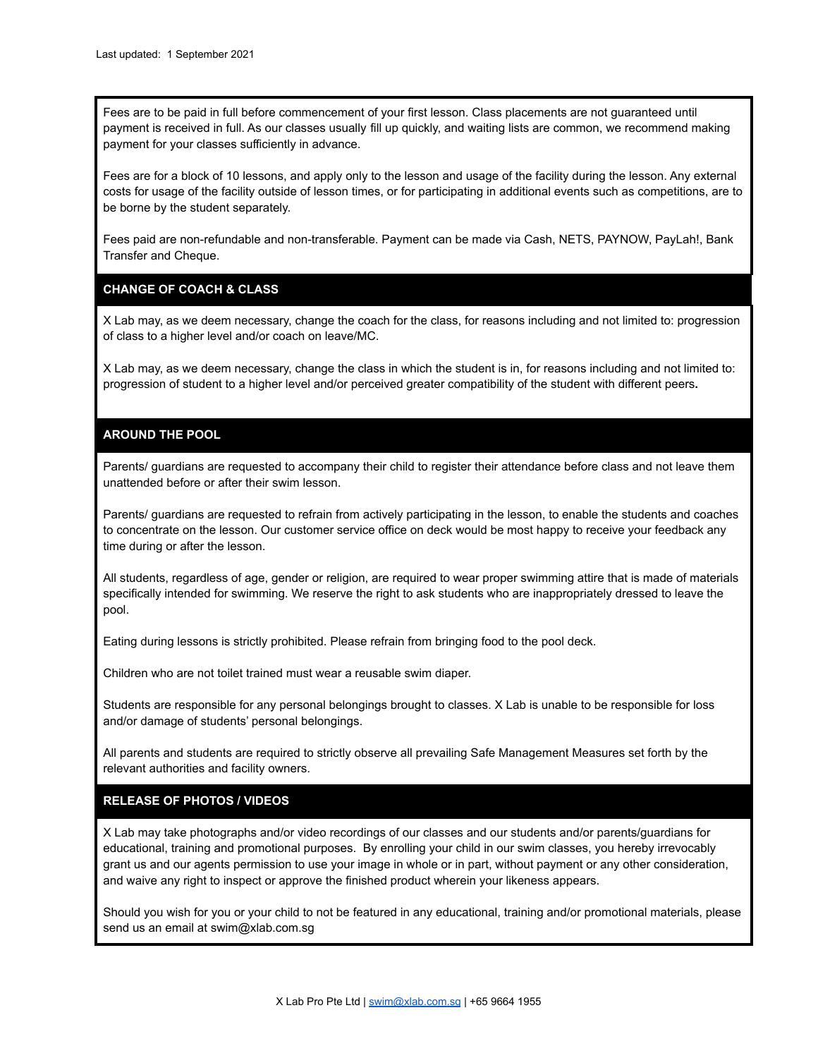Fees are to be paid in full before commencement of your first lesson. Class placements are not guaranteed until payment is received in full. As our classes usually fill up quickly, and waiting lists are common, we recommend making payment for your classes sufficiently in advance.

Fees are for a block of 10 lessons, and apply only to the lesson and usage of the facility during the lesson. Any external costs for usage of the facility outside of lesson times, or for participating in additional events such as competitions, are to be borne by the student separately.

Fees paid are non-refundable and non-transferable. Payment can be made via Cash, NETS, PAYNOW, PayLah!, Bank Transfer and Cheque.

# **CHANGE OF COACH & CLASS**

X Lab may, as we deem necessary, change the coach for the class, for reasons including and not limited to: progression of class to a higher level and/or coach on leave/MC.

X Lab may, as we deem necessary, change the class in which the student is in, for reasons including and not limited to: progression of student to a higher level and/or perceived greater compatibility of the student with different peers**.**

## **AROUND THE POOL**

Parents/ guardians are requested to accompany their child to register their attendance before class and not leave them unattended before or after their swim lesson.

Parents/ guardians are requested to refrain from actively participating in the lesson, to enable the students and coaches to concentrate on the lesson. Our customer service office on deck would be most happy to receive your feedback any time during or after the lesson.

All students, regardless of age, gender or religion, are required to wear proper swimming attire that is made of materials specifically intended for swimming. We reserve the right to ask students who are inappropriately dressed to leave the pool.

Eating during lessons is strictly prohibited. Please refrain from bringing food to the pool deck.

Children who are not toilet trained must wear a reusable swim diaper.

Students are responsible for any personal belongings brought to classes. X Lab is unable to be responsible for loss and/or damage of students' personal belongings.

All parents and students are required to strictly observe all prevailing Safe Management Measures set forth by the relevant authorities and facility owners.

#### **RELEASE OF PHOTOS / VIDEOS**

X Lab may take photographs and/or video recordings of our classes and our students and/or parents/guardians for educational, training and promotional purposes. By enrolling your child in our swim classes, you hereby irrevocably grant us and our agents permission to use your image in whole or in part, without payment or any other consideration, and waive any right to inspect or approve the finished product wherein your likeness appears.

Should you wish for you or your child to not be featured in any educational, training and/or promotional materials, please send us an email at swim@xlab.com.sq